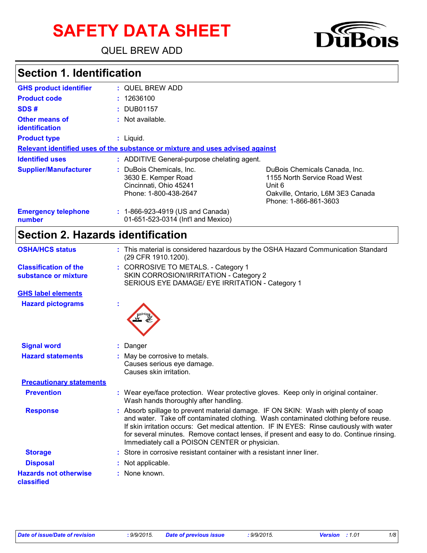# **SAFETY DATA SHEET**

QUEL BREW ADD



### **Section 1. Identification**

| <b>GHS product identifier</b>           | : QUEL BREW ADD                                                                                    |                                                                                                                                       |
|-----------------------------------------|----------------------------------------------------------------------------------------------------|---------------------------------------------------------------------------------------------------------------------------------------|
| <b>Product code</b>                     | : 12636100                                                                                         |                                                                                                                                       |
| SDS#                                    | : DUB01157                                                                                         |                                                                                                                                       |
| <b>Other means of</b><br>identification | : Not available.                                                                                   |                                                                                                                                       |
| <b>Product type</b>                     | $:$ Liquid.                                                                                        |                                                                                                                                       |
|                                         | Relevant identified uses of the substance or mixture and uses advised against                      |                                                                                                                                       |
| <b>Identified uses</b>                  | : ADDITIVE General-purpose chelating agent.                                                        |                                                                                                                                       |
| <b>Supplier/Manufacturer</b>            | : DuBois Chemicals, Inc.<br>3630 E. Kemper Road<br>Cincinnati, Ohio 45241<br>Phone: 1-800-438-2647 | DuBois Chemicals Canada, Inc.<br>1155 North Service Road West<br>Unit 6<br>Oakville, Ontario, L6M 3E3 Canada<br>Phone: 1-866-861-3603 |
| <b>Emergency telephone</b><br>number    | : 1-866-923-4919 (US and Canada)<br>01-651-523-0314 (Int'l and Mexico)                             |                                                                                                                                       |

### **Section 2. Hazards identification**

| <b>OSHA/HCS status</b>                               | : This material is considered hazardous by the OSHA Hazard Communication Standard<br>(29 CFR 1910.1200).                                                                                                                                                                                                                                                                                                           |
|------------------------------------------------------|--------------------------------------------------------------------------------------------------------------------------------------------------------------------------------------------------------------------------------------------------------------------------------------------------------------------------------------------------------------------------------------------------------------------|
| <b>Classification of the</b><br>substance or mixture | : CORROSIVE TO METALS. - Category 1<br>SKIN CORROSION/IRRITATION - Category 2<br>SERIOUS EYE DAMAGE/ EYE IRRITATION - Category 1                                                                                                                                                                                                                                                                                   |
| <b>GHS label elements</b>                            |                                                                                                                                                                                                                                                                                                                                                                                                                    |
| <b>Hazard pictograms</b>                             |                                                                                                                                                                                                                                                                                                                                                                                                                    |
| <b>Signal word</b>                                   | : Danger                                                                                                                                                                                                                                                                                                                                                                                                           |
| <b>Hazard statements</b>                             | May be corrosive to metals.<br>Causes serious eye damage.<br>Causes skin irritation.                                                                                                                                                                                                                                                                                                                               |
| <b>Precautionary statements</b>                      |                                                                                                                                                                                                                                                                                                                                                                                                                    |
| <b>Prevention</b>                                    | : Wear eye/face protection. Wear protective gloves. Keep only in original container.<br>Wash hands thoroughly after handling.                                                                                                                                                                                                                                                                                      |
| <b>Response</b>                                      | Absorb spillage to prevent material damage. IF ON SKIN: Wash with plenty of soap<br>and water. Take off contaminated clothing. Wash contaminated clothing before reuse.<br>If skin irritation occurs: Get medical attention. IF IN EYES: Rinse cautiously with water<br>for several minutes. Remove contact lenses, if present and easy to do. Continue rinsing.<br>Immediately call a POISON CENTER or physician. |
| <b>Storage</b>                                       | Store in corrosive resistant container with a resistant inner liner.                                                                                                                                                                                                                                                                                                                                               |
| <b>Disposal</b>                                      | Not applicable.                                                                                                                                                                                                                                                                                                                                                                                                    |
| <b>Hazards not otherwise</b><br>classified           | : None known.                                                                                                                                                                                                                                                                                                                                                                                                      |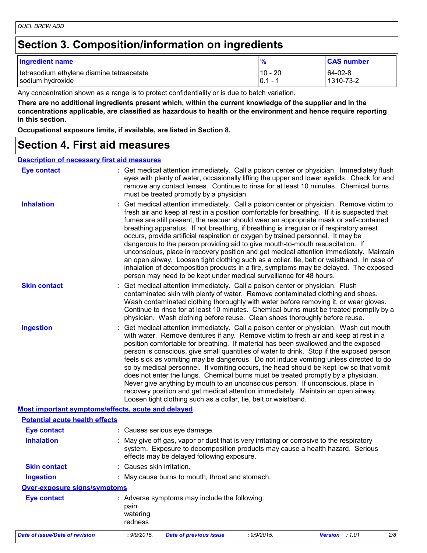### **Section 3. Composition/information on ingredients**

| <b>Ingredient name</b>                    | $\frac{0}{6}$ | <b>CAS number</b> |
|-------------------------------------------|---------------|-------------------|
| tetrasodium ethylene diamine tetraacetate | $10 - 20$     | 64-02-8           |
| sodium hydroxide                          | $ 0.1 -$      | 1310-73-2         |

Any concentration shown as a range is to protect confidentiality or is due to batch variation.

**There are no additional ingredients present which, within the current knowledge of the supplier and in the concentrations applicable, are classified as hazardous to health or the environment and hence require reporting in this section.**

**Occupational exposure limits, if available, are listed in Section 8.**

### **Section 4. First aid measures**

#### **Description of necessary first aid measures**

| <b>Eye contact</b>                                 | : Get medical attention immediately. Call a poison center or physician. Immediately flush<br>eyes with plenty of water, occasionally lifting the upper and lower eyelids. Check for and<br>remove any contact lenses. Continue to rinse for at least 10 minutes. Chemical burns<br>must be treated promptly by a physician.                                                                                                                                                                                                                                                                                                                                                                                                                                                                                                                                                                                  |
|----------------------------------------------------|--------------------------------------------------------------------------------------------------------------------------------------------------------------------------------------------------------------------------------------------------------------------------------------------------------------------------------------------------------------------------------------------------------------------------------------------------------------------------------------------------------------------------------------------------------------------------------------------------------------------------------------------------------------------------------------------------------------------------------------------------------------------------------------------------------------------------------------------------------------------------------------------------------------|
| <b>Inhalation</b>                                  | : Get medical attention immediately. Call a poison center or physician. Remove victim to<br>fresh air and keep at rest in a position comfortable for breathing. If it is suspected that<br>fumes are still present, the rescuer should wear an appropriate mask or self-contained<br>breathing apparatus. If not breathing, if breathing is irregular or if respiratory arrest<br>occurs, provide artificial respiration or oxygen by trained personnel. It may be<br>dangerous to the person providing aid to give mouth-to-mouth resuscitation. If<br>unconscious, place in recovery position and get medical attention immediately. Maintain<br>an open airway. Loosen tight clothing such as a collar, tie, belt or waistband. In case of<br>inhalation of decomposition products in a fire, symptoms may be delayed. The exposed<br>person may need to be kept under medical surveillance for 48 hours. |
| <b>Skin contact</b>                                | : Get medical attention immediately. Call a poison center or physician. Flush<br>contaminated skin with plenty of water. Remove contaminated clothing and shoes.<br>Wash contaminated clothing thoroughly with water before removing it, or wear gloves.<br>Continue to rinse for at least 10 minutes. Chemical burns must be treated promptly by a<br>physician. Wash clothing before reuse. Clean shoes thoroughly before reuse.                                                                                                                                                                                                                                                                                                                                                                                                                                                                           |
| <b>Ingestion</b>                                   | : Get medical attention immediately. Call a poison center or physician. Wash out mouth<br>with water. Remove dentures if any. Remove victim to fresh air and keep at rest in a<br>position comfortable for breathing. If material has been swallowed and the exposed<br>person is conscious, give small quantities of water to drink. Stop if the exposed person<br>feels sick as vomiting may be dangerous. Do not induce vomiting unless directed to do<br>so by medical personnel. If vomiting occurs, the head should be kept low so that vomit<br>does not enter the lungs. Chemical burns must be treated promptly by a physician.<br>Never give anything by mouth to an unconscious person. If unconscious, place in<br>recovery position and get medical attention immediately. Maintain an open airway.<br>Loosen tight clothing such as a collar, tie, belt or waistband.                          |
| Most important symptoms/effects, acute and delayed |                                                                                                                                                                                                                                                                                                                                                                                                                                                                                                                                                                                                                                                                                                                                                                                                                                                                                                              |
| <b>Potential acute health effects</b>              |                                                                                                                                                                                                                                                                                                                                                                                                                                                                                                                                                                                                                                                                                                                                                                                                                                                                                                              |
| <b>Eye contact</b>                                 | : Causes serious eye damage.                                                                                                                                                                                                                                                                                                                                                                                                                                                                                                                                                                                                                                                                                                                                                                                                                                                                                 |
| <b>Inhalation</b>                                  | May give off gas, vapor or dust that is very irritating or corrosive to the respiratory<br>system. Exposure to decomposition products may cause a health hazard. Serious<br>effects may be delayed following exposure.                                                                                                                                                                                                                                                                                                                                                                                                                                                                                                                                                                                                                                                                                       |
| <b>Skin contact</b>                                | : Causes skin irritation.                                                                                                                                                                                                                                                                                                                                                                                                                                                                                                                                                                                                                                                                                                                                                                                                                                                                                    |
| <b>Ingestion</b>                                   | : May cause burns to mouth, throat and stomach.                                                                                                                                                                                                                                                                                                                                                                                                                                                                                                                                                                                                                                                                                                                                                                                                                                                              |
| <b>Over-exposure signs/symptoms</b>                |                                                                                                                                                                                                                                                                                                                                                                                                                                                                                                                                                                                                                                                                                                                                                                                                                                                                                                              |
| <b>Eye contact</b>                                 | : Adverse symptoms may include the following:<br>pain<br>watering<br>redness                                                                                                                                                                                                                                                                                                                                                                                                                                                                                                                                                                                                                                                                                                                                                                                                                                 |
| <b>Date of issue/Date of revision</b>              | Version : 1.01<br>: 9/9/2015.<br><b>Date of previous issue</b><br>: 9/9/2015.<br>2/8                                                                                                                                                                                                                                                                                                                                                                                                                                                                                                                                                                                                                                                                                                                                                                                                                         |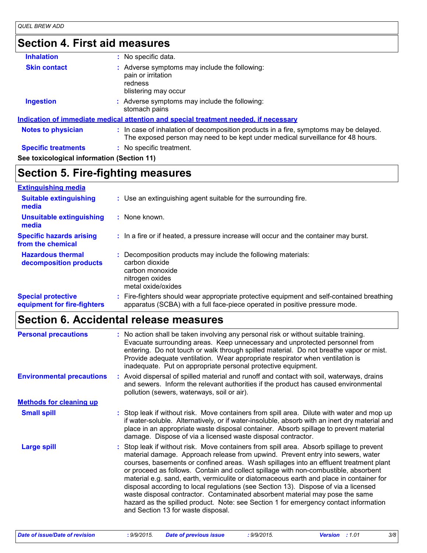# **Section 4. First aid measures**

| <b>Inhalation</b>                          | : No specific data.                                                                                                                                                      |
|--------------------------------------------|--------------------------------------------------------------------------------------------------------------------------------------------------------------------------|
| <b>Skin contact</b>                        | : Adverse symptoms may include the following:<br>pain or irritation<br>redness<br>blistering may occur                                                                   |
| <b>Ingestion</b>                           | : Adverse symptoms may include the following:<br>stomach pains                                                                                                           |
|                                            | <u>Indication of immediate medical attention and special treatment needed, if necessary</u>                                                                              |
| <b>Notes to physician</b>                  | : In case of inhalation of decomposition products in a fire, symptoms may be delayed.<br>The exposed person may need to be kept under medical surveillance for 48 hours. |
| <b>Specific treatments</b>                 | : No specific treatment.                                                                                                                                                 |
| See toxicological information (Section 11) |                                                                                                                                                                          |

# **Section 5. Fire-fighting measures**

| <b>Extinguishing media</b>                               |                                                                                                                                                                        |
|----------------------------------------------------------|------------------------------------------------------------------------------------------------------------------------------------------------------------------------|
| <b>Suitable extinguishing</b><br>media                   | : Use an extinguishing agent suitable for the surrounding fire.                                                                                                        |
| <b>Unsuitable extinguishing</b><br>media                 | : None known.                                                                                                                                                          |
| <b>Specific hazards arising</b><br>from the chemical     | : In a fire or if heated, a pressure increase will occur and the container may burst.                                                                                  |
| <b>Hazardous thermal</b><br>decomposition products       | Decomposition products may include the following materials:<br>÷.<br>carbon dioxide<br>carbon monoxide<br>nitrogen oxides<br>metal oxide/oxides                        |
| <b>Special protective</b><br>equipment for fire-fighters | Fire-fighters should wear appropriate protective equipment and self-contained breathing<br>apparatus (SCBA) with a full face-piece operated in positive pressure mode. |

# **Section 6. Accidental release measures**

| <b>Personal precautions</b>      | : No action shall be taken involving any personal risk or without suitable training.<br>Evacuate surrounding areas. Keep unnecessary and unprotected personnel from<br>entering. Do not touch or walk through spilled material. Do not breathe vapor or mist.<br>Provide adequate ventilation. Wear appropriate respirator when ventilation is<br>inadequate. Put on appropriate personal protective equipment.                                                                                                                                                                                                                                                                                                                                             |
|----------------------------------|-------------------------------------------------------------------------------------------------------------------------------------------------------------------------------------------------------------------------------------------------------------------------------------------------------------------------------------------------------------------------------------------------------------------------------------------------------------------------------------------------------------------------------------------------------------------------------------------------------------------------------------------------------------------------------------------------------------------------------------------------------------|
| <b>Environmental precautions</b> | Avoid dispersal of spilled material and runoff and contact with soil, waterways, drains<br>and sewers. Inform the relevant authorities if the product has caused environmental<br>pollution (sewers, waterways, soil or air).                                                                                                                                                                                                                                                                                                                                                                                                                                                                                                                               |
| <b>Methods for cleaning up</b>   |                                                                                                                                                                                                                                                                                                                                                                                                                                                                                                                                                                                                                                                                                                                                                             |
| <b>Small spill</b>               | : Stop leak if without risk. Move containers from spill area. Dilute with water and mop up<br>if water-soluble. Alternatively, or if water-insoluble, absorb with an inert dry material and<br>place in an appropriate waste disposal container. Absorb spillage to prevent material<br>damage. Dispose of via a licensed waste disposal contractor.                                                                                                                                                                                                                                                                                                                                                                                                        |
| Large spill                      | : Stop leak if without risk. Move containers from spill area. Absorb spillage to prevent<br>material damage. Approach release from upwind. Prevent entry into sewers, water<br>courses, basements or confined areas. Wash spillages into an effluent treatment plant<br>or proceed as follows. Contain and collect spillage with non-combustible, absorbent<br>material e.g. sand, earth, vermiculite or diatomaceous earth and place in container for<br>disposal according to local regulations (see Section 13). Dispose of via a licensed<br>waste disposal contractor. Contaminated absorbent material may pose the same<br>hazard as the spilled product. Note: see Section 1 for emergency contact information<br>and Section 13 for waste disposal. |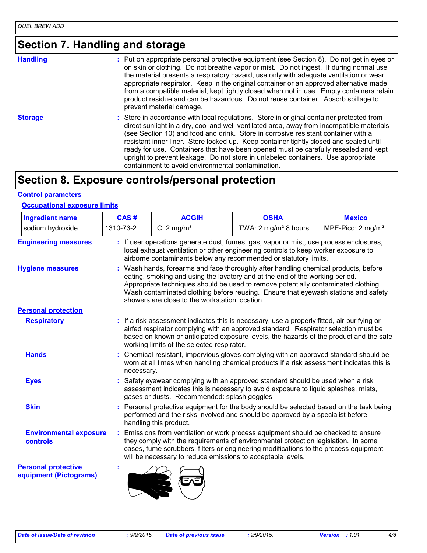# **Section 7. Handling and storage**

| <b>Handling</b> | : Put on appropriate personal protective equipment (see Section 8). Do not get in eyes or<br>on skin or clothing. Do not breathe vapor or mist. Do not ingest. If during normal use<br>the material presents a respiratory hazard, use only with adequate ventilation or wear<br>appropriate respirator. Keep in the original container or an approved alternative made<br>from a compatible material, kept tightly closed when not in use. Empty containers retain<br>product residue and can be hazardous. Do not reuse container. Absorb spillage to<br>prevent material damage.                    |
|-----------------|--------------------------------------------------------------------------------------------------------------------------------------------------------------------------------------------------------------------------------------------------------------------------------------------------------------------------------------------------------------------------------------------------------------------------------------------------------------------------------------------------------------------------------------------------------------------------------------------------------|
| <b>Storage</b>  | : Store in accordance with local regulations. Store in original container protected from<br>direct sunlight in a dry, cool and well-ventilated area, away from incompatible materials<br>(see Section 10) and food and drink. Store in corrosive resistant container with a<br>resistant inner liner. Store locked up. Keep container tightly closed and sealed until<br>ready for use. Containers that have been opened must be carefully resealed and kept<br>upright to prevent leakage. Do not store in unlabeled containers. Use appropriate<br>containment to avoid environmental contamination. |

### **Section 8. Exposure controls/personal protection**

#### **Control parameters**

#### **Occupational exposure limits**

| <b>Ingredient name</b>                               | CAS#                                                                                                                                                                                                                                           | <b>ACGIH</b>                                                                                                                                                                                                                                                                                                                                                                                    | <b>OSHA</b>                                                                                                                                                                                                                                                                  | <b>Mexico</b>                  |  |
|------------------------------------------------------|------------------------------------------------------------------------------------------------------------------------------------------------------------------------------------------------------------------------------------------------|-------------------------------------------------------------------------------------------------------------------------------------------------------------------------------------------------------------------------------------------------------------------------------------------------------------------------------------------------------------------------------------------------|------------------------------------------------------------------------------------------------------------------------------------------------------------------------------------------------------------------------------------------------------------------------------|--------------------------------|--|
| sodium hydroxide                                     | 1310-73-2                                                                                                                                                                                                                                      | C: $2 \text{ mg/m}^3$                                                                                                                                                                                                                                                                                                                                                                           | TWA: 2 mg/m <sup>3</sup> 8 hours.                                                                                                                                                                                                                                            | LMPE-Pico: 2 mg/m <sup>3</sup> |  |
| <b>Engineering measures</b>                          | If user operations generate dust, fumes, gas, vapor or mist, use process enclosures,<br>local exhaust ventilation or other engineering controls to keep worker exposure to<br>airborne contaminants below any recommended or statutory limits. |                                                                                                                                                                                                                                                                                                                                                                                                 |                                                                                                                                                                                                                                                                              |                                |  |
| <b>Hygiene measures</b>                              |                                                                                                                                                                                                                                                | Wash hands, forearms and face thoroughly after handling chemical products, before<br>eating, smoking and using the lavatory and at the end of the working period.<br>Appropriate techniques should be used to remove potentially contaminated clothing.<br>Wash contaminated clothing before reusing. Ensure that eyewash stations and safety<br>showers are close to the workstation location. |                                                                                                                                                                                                                                                                              |                                |  |
| <b>Personal protection</b>                           |                                                                                                                                                                                                                                                |                                                                                                                                                                                                                                                                                                                                                                                                 |                                                                                                                                                                                                                                                                              |                                |  |
| <b>Respiratory</b>                                   |                                                                                                                                                                                                                                                | working limits of the selected respirator.                                                                                                                                                                                                                                                                                                                                                      | : If a risk assessment indicates this is necessary, use a properly fitted, air-purifying or<br>airfed respirator complying with an approved standard. Respirator selection must be<br>based on known or anticipated exposure levels, the hazards of the product and the safe |                                |  |
| <b>Hands</b>                                         |                                                                                                                                                                                                                                                | Chemical-resistant, impervious gloves complying with an approved standard should be<br>worn at all times when handling chemical products if a risk assessment indicates this is<br>necessary.                                                                                                                                                                                                   |                                                                                                                                                                                                                                                                              |                                |  |
| <b>Eyes</b>                                          |                                                                                                                                                                                                                                                | Safety eyewear complying with an approved standard should be used when a risk<br>assessment indicates this is necessary to avoid exposure to liquid splashes, mists,<br>gases or dusts. Recommended: splash goggles                                                                                                                                                                             |                                                                                                                                                                                                                                                                              |                                |  |
| <b>Skin</b>                                          |                                                                                                                                                                                                                                                | handling this product.                                                                                                                                                                                                                                                                                                                                                                          | Personal protective equipment for the body should be selected based on the task being<br>performed and the risks involved and should be approved by a specialist before                                                                                                      |                                |  |
| <b>Environmental exposure</b><br><b>controls</b>     |                                                                                                                                                                                                                                                | will be necessary to reduce emissions to acceptable levels.                                                                                                                                                                                                                                                                                                                                     | Emissions from ventilation or work process equipment should be checked to ensure<br>they comply with the requirements of environmental protection legislation. In some<br>cases, fume scrubbers, filters or engineering modifications to the process equipment               |                                |  |
| <b>Personal protective</b><br>equipment (Pictograms) |                                                                                                                                                                                                                                                |                                                                                                                                                                                                                                                                                                                                                                                                 |                                                                                                                                                                                                                                                                              |                                |  |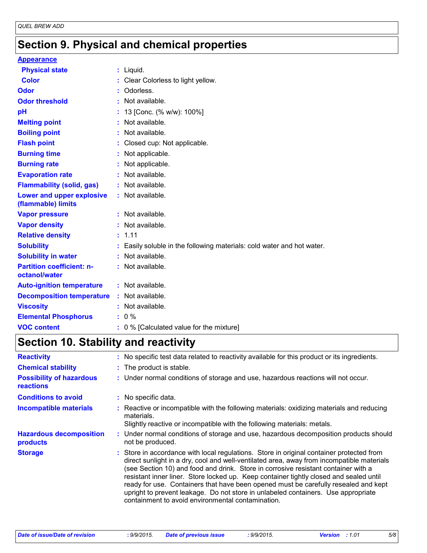# **Section 9. Physical and chemical properties**

#### **Appearance**

| <b>Physical state</b>                             | $:$ Liquid.                                                          |
|---------------------------------------------------|----------------------------------------------------------------------|
| <b>Color</b>                                      | Clear Colorless to light yellow.                                     |
| <b>Odor</b>                                       | Odorless.                                                            |
| <b>Odor threshold</b>                             | Not available.                                                       |
| рH                                                | 13 [Conc. (% w/w): 100%]                                             |
| <b>Melting point</b>                              | Not available.                                                       |
| <b>Boiling point</b>                              | Not available.                                                       |
| <b>Flash point</b>                                | Closed cup: Not applicable.                                          |
| <b>Burning time</b>                               | Not applicable.                                                      |
| <b>Burning rate</b>                               | Not applicable.                                                      |
| <b>Evaporation rate</b>                           | Not available.                                                       |
| <b>Flammability (solid, gas)</b>                  | Not available.                                                       |
| Lower and upper explosive<br>(flammable) limits   | : Not available.                                                     |
| <b>Vapor pressure</b>                             | Not available.                                                       |
| <b>Vapor density</b>                              | Not available.                                                       |
| <b>Relative density</b>                           | 1.11                                                                 |
| <b>Solubility</b>                                 | Easily soluble in the following materials: cold water and hot water. |
| <b>Solubility in water</b>                        | Not available.                                                       |
| <b>Partition coefficient: n-</b><br>octanol/water | : Not available.                                                     |
| <b>Auto-ignition temperature</b>                  | : Not available.                                                     |
| <b>Decomposition temperature</b>                  | : Not available.                                                     |
| <b>Viscosity</b>                                  | Not available.                                                       |
| <b>Elemental Phosphorus</b>                       | $: 0 \%$                                                             |
| <b>VOC content</b>                                | 0 % [Calculated value for the mixture]                               |

# **Section 10. Stability and reactivity**

| <b>Reactivity</b>                            | : No specific test data related to reactivity available for this product or its ingredients.                                                                                                                                                                                                                                                                                                                                                                                                                                                                                                           |
|----------------------------------------------|--------------------------------------------------------------------------------------------------------------------------------------------------------------------------------------------------------------------------------------------------------------------------------------------------------------------------------------------------------------------------------------------------------------------------------------------------------------------------------------------------------------------------------------------------------------------------------------------------------|
| <b>Chemical stability</b>                    | : The product is stable.                                                                                                                                                                                                                                                                                                                                                                                                                                                                                                                                                                               |
| <b>Possibility of hazardous</b><br>reactions | : Under normal conditions of storage and use, hazardous reactions will not occur.                                                                                                                                                                                                                                                                                                                                                                                                                                                                                                                      |
| <b>Conditions to avoid</b>                   | : No specific data.                                                                                                                                                                                                                                                                                                                                                                                                                                                                                                                                                                                    |
| <b>Incompatible materials</b>                | Reactive or incompatible with the following materials: oxidizing materials and reducing<br>materials.<br>Slightly reactive or incompatible with the following materials: metals.                                                                                                                                                                                                                                                                                                                                                                                                                       |
| <b>Hazardous decomposition</b><br>products   | : Under normal conditions of storage and use, hazardous decomposition products should<br>not be produced.                                                                                                                                                                                                                                                                                                                                                                                                                                                                                              |
| <b>Storage</b>                               | : Store in accordance with local regulations. Store in original container protected from<br>direct sunlight in a dry, cool and well-ventilated area, away from incompatible materials<br>(see Section 10) and food and drink. Store in corrosive resistant container with a<br>resistant inner liner. Store locked up. Keep container tightly closed and sealed until<br>ready for use. Containers that have been opened must be carefully resealed and kept<br>upright to prevent leakage. Do not store in unlabeled containers. Use appropriate<br>containment to avoid environmental contamination. |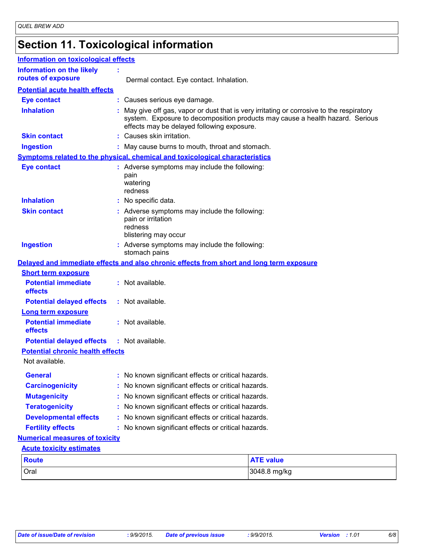# **Section 11. Toxicological information**

| <b>Information on toxicological effects</b>               |                                                                                                                                                                                                                          |  |  |
|-----------------------------------------------------------|--------------------------------------------------------------------------------------------------------------------------------------------------------------------------------------------------------------------------|--|--|
| <b>Information on the likely</b>                          |                                                                                                                                                                                                                          |  |  |
| routes of exposure                                        | Dermal contact. Eye contact. Inhalation.                                                                                                                                                                                 |  |  |
| <b>Potential acute health effects</b>                     |                                                                                                                                                                                                                          |  |  |
| <b>Eye contact</b>                                        | : Causes serious eye damage.                                                                                                                                                                                             |  |  |
| <b>Inhalation</b>                                         | : May give off gas, vapor or dust that is very irritating or corrosive to the respiratory<br>system. Exposure to decomposition products may cause a health hazard. Serious<br>effects may be delayed following exposure. |  |  |
| <b>Skin contact</b>                                       | : Causes skin irritation.                                                                                                                                                                                                |  |  |
| <b>Ingestion</b>                                          | : May cause burns to mouth, throat and stomach.                                                                                                                                                                          |  |  |
|                                                           | Symptoms related to the physical, chemical and toxicological characteristics                                                                                                                                             |  |  |
| <b>Eye contact</b>                                        | : Adverse symptoms may include the following:<br>pain<br>watering<br>redness                                                                                                                                             |  |  |
| <b>Inhalation</b>                                         | : No specific data.                                                                                                                                                                                                      |  |  |
| <b>Skin contact</b>                                       | : Adverse symptoms may include the following:<br>pain or irritation<br>redness<br>blistering may occur                                                                                                                   |  |  |
| <b>Ingestion</b>                                          | : Adverse symptoms may include the following:<br>stomach pains                                                                                                                                                           |  |  |
|                                                           | Delayed and immediate effects and also chronic effects from short and long term exposure                                                                                                                                 |  |  |
| <b>Short term exposure</b>                                |                                                                                                                                                                                                                          |  |  |
| <b>Potential immediate</b><br>effects                     | : Not available.                                                                                                                                                                                                         |  |  |
| <b>Potential delayed effects</b>                          | : Not available.                                                                                                                                                                                                         |  |  |
| <b>Long term exposure</b>                                 |                                                                                                                                                                                                                          |  |  |
| <b>Potential immediate</b><br>effects                     | : Not available.                                                                                                                                                                                                         |  |  |
| <b>Potential delayed effects</b>                          | : Not available.                                                                                                                                                                                                         |  |  |
| <b>Potential chronic health effects</b><br>Not available. |                                                                                                                                                                                                                          |  |  |
| <b>General</b>                                            | : No known significant effects or critical hazards.                                                                                                                                                                      |  |  |
| <b>Carcinogenicity</b>                                    | No known significant effects or critical hazards.                                                                                                                                                                        |  |  |
| <b>Mutagenicity</b>                                       | : No known significant effects or critical hazards.                                                                                                                                                                      |  |  |
| <b>Teratogenicity</b>                                     | : No known significant effects or critical hazards.                                                                                                                                                                      |  |  |
| <b>Developmental effects</b>                              | : No known significant effects or critical hazards.                                                                                                                                                                      |  |  |
| <b>Fertility effects</b>                                  | : No known significant effects or critical hazards.                                                                                                                                                                      |  |  |
| <b>Numerical measures of toxicity</b>                     |                                                                                                                                                                                                                          |  |  |
| <b>Acute toxicity estimates</b>                           |                                                                                                                                                                                                                          |  |  |
| <b>Route</b>                                              | <b>ATE value</b>                                                                                                                                                                                                         |  |  |
| Oral                                                      | 3048.8 mg/kg                                                                                                                                                                                                             |  |  |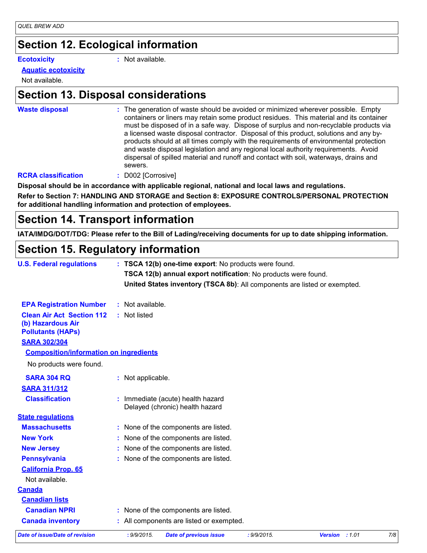### **Section 12. Ecological information**

**Ecotoxicity :**

: Not available.

#### **Aquatic ecotoxicity**

Not available.

### **Section 13. Disposal considerations**

**Waste disposal :**

The generation of waste should be avoided or minimized wherever possible. Empty containers or liners may retain some product residues. This material and its container must be disposed of in a safe way. Dispose of surplus and non-recyclable products via a licensed waste disposal contractor. Disposal of this product, solutions and any byproducts should at all times comply with the requirements of environmental protection and waste disposal legislation and any regional local authority requirements. Avoid dispersal of spilled material and runoff and contact with soil, waterways, drains and sewers.

#### **RCRA classification :** D002 [Corrosive]

**Disposal should be in accordance with applicable regional, national and local laws and regulations.**

**Refer to Section 7: HANDLING AND STORAGE and Section 8: EXPOSURE CONTROLS/PERSONAL PROTECTION for additional handling information and protection of employees.**

### **Section 14. Transport information**

**IATA/IMDG/DOT/TDG: Please refer to the Bill of Lading/receiving documents for up to date shipping information.**

### **Section 15. Regulatory information**

| <b>U.S. Federal regulations</b>                                                   | : TSCA 12(b) one-time export: No products were found. |                                                                           |             |                |     |
|-----------------------------------------------------------------------------------|-------------------------------------------------------|---------------------------------------------------------------------------|-------------|----------------|-----|
|                                                                                   |                                                       | TSCA 12(b) annual export notification: No products were found.            |             |                |     |
|                                                                                   |                                                       | United States inventory (TSCA 8b): All components are listed or exempted. |             |                |     |
| <b>EPA Registration Number</b>                                                    | : Not available.                                      |                                                                           |             |                |     |
| <b>Clean Air Act Section 112</b><br>(b) Hazardous Air<br><b>Pollutants (HAPs)</b> | : Not listed                                          |                                                                           |             |                |     |
| <b>SARA 302/304</b>                                                               |                                                       |                                                                           |             |                |     |
| <b>Composition/information on ingredients</b>                                     |                                                       |                                                                           |             |                |     |
| No products were found.                                                           |                                                       |                                                                           |             |                |     |
| <b>SARA 304 RQ</b>                                                                | : Not applicable.                                     |                                                                           |             |                |     |
| <b>SARA 311/312</b>                                                               |                                                       |                                                                           |             |                |     |
| <b>Classification</b>                                                             |                                                       | : Immediate (acute) health hazard<br>Delayed (chronic) health hazard      |             |                |     |
| <b>State regulations</b>                                                          |                                                       |                                                                           |             |                |     |
| <b>Massachusetts</b>                                                              |                                                       | : None of the components are listed.                                      |             |                |     |
| <b>New York</b>                                                                   |                                                       | : None of the components are listed.                                      |             |                |     |
| <b>New Jersey</b>                                                                 |                                                       | None of the components are listed.                                        |             |                |     |
| <b>Pennsylvania</b>                                                               |                                                       | : None of the components are listed.                                      |             |                |     |
| <b>California Prop. 65</b>                                                        |                                                       |                                                                           |             |                |     |
| Not available.                                                                    |                                                       |                                                                           |             |                |     |
| <b>Canada</b>                                                                     |                                                       |                                                                           |             |                |     |
| <b>Canadian lists</b>                                                             |                                                       |                                                                           |             |                |     |
| <b>Canadian NPRI</b>                                                              |                                                       | : None of the components are listed.                                      |             |                |     |
| <b>Canada inventory</b>                                                           |                                                       | : All components are listed or exempted.                                  |             |                |     |
| <b>Date of issue/Date of revision</b>                                             | : 9/9/2015.                                           | <b>Date of previous issue</b>                                             | : 9/9/2015. | Version : 1.01 | 7/8 |